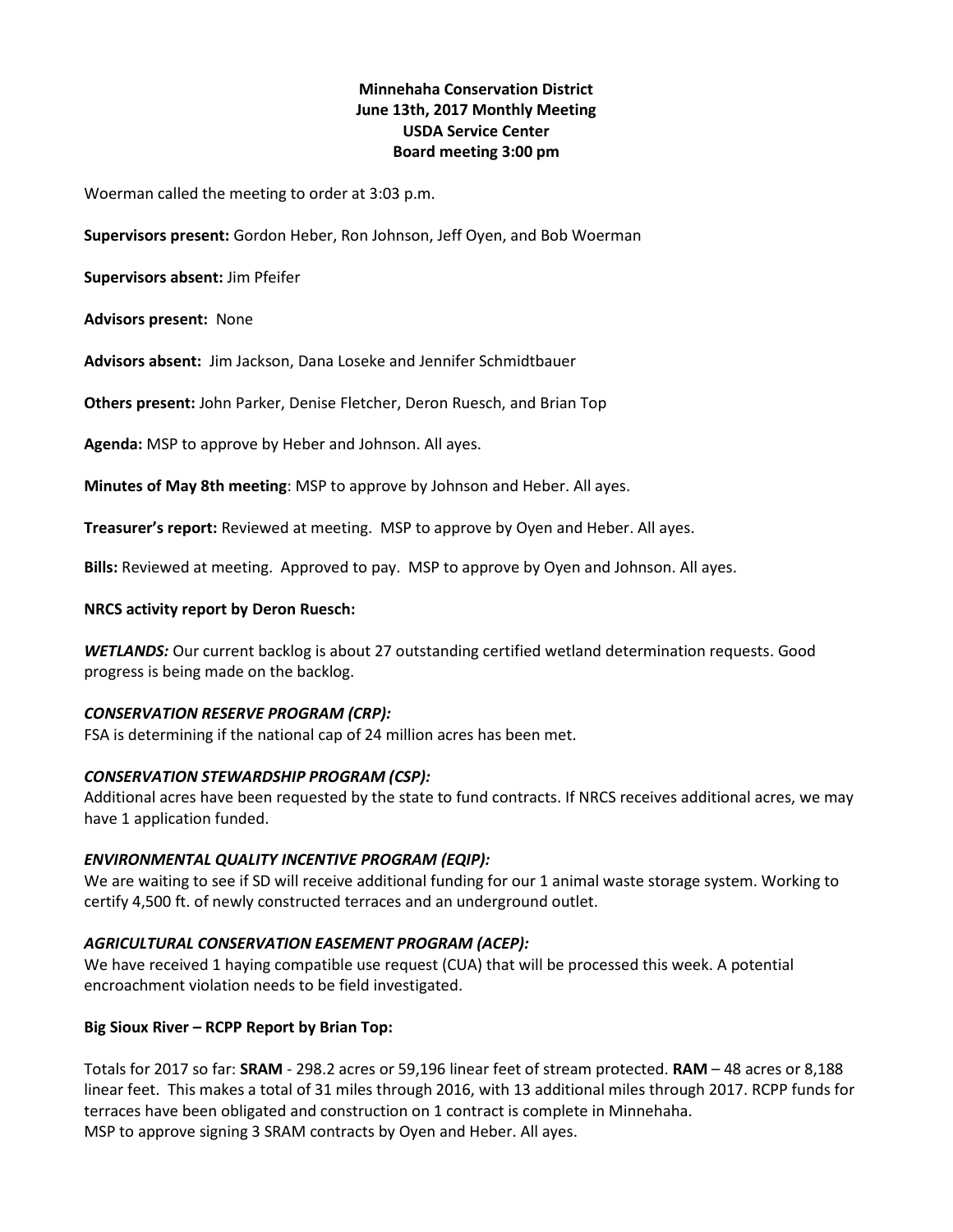# **Minnehaha Conservation District June 13th, 2017 Monthly Meeting USDA Service Center Board meeting 3:00 pm**

Woerman called the meeting to order at 3:03 p.m.

**Supervisors present:** Gordon Heber, Ron Johnson, Jeff Oyen, and Bob Woerman

**Supervisors absent:** Jim Pfeifer

**Advisors present:** None

**Advisors absent:** Jim Jackson, Dana Loseke and Jennifer Schmidtbauer

**Others present:** John Parker, Denise Fletcher, Deron Ruesch, and Brian Top

**Agenda:** MSP to approve by Heber and Johnson. All ayes.

**Minutes of May 8th meeting**: MSP to approve by Johnson and Heber. All ayes.

**Treasurer's report:** Reviewed at meeting. MSP to approve by Oyen and Heber. All ayes.

**Bills:** Reviewed at meeting. Approved to pay. MSP to approve by Oyen and Johnson. All ayes.

#### **NRCS activity report by Deron Ruesch:**

*WETLANDS:* Our current backlog is about 27 outstanding certified wetland determination requests. Good progress is being made on the backlog.

### *CONSERVATION RESERVE PROGRAM (CRP):*

FSA is determining if the national cap of 24 million acres has been met.

### *CONSERVATION STEWARDSHIP PROGRAM (CSP):*

Additional acres have been requested by the state to fund contracts. If NRCS receives additional acres, we may have 1 application funded.

### *ENVIRONMENTAL QUALITY INCENTIVE PROGRAM (EQIP):*

We are waiting to see if SD will receive additional funding for our 1 animal waste storage system. Working to certify 4,500 ft. of newly constructed terraces and an underground outlet.

### *AGRICULTURAL CONSERVATION EASEMENT PROGRAM (ACEP):*

We have received 1 haying compatible use request (CUA) that will be processed this week. A potential encroachment violation needs to be field investigated.

### **Big Sioux River – RCPP Report by Brian Top:**

Totals for 2017 so far: **SRAM** - 298.2 acres or 59,196 linear feet of stream protected. **RAM** – 48 acres or 8,188 linear feet. This makes a total of 31 miles through 2016, with 13 additional miles through 2017. RCPP funds for terraces have been obligated and construction on 1 contract is complete in Minnehaha. MSP to approve signing 3 SRAM contracts by Oyen and Heber. All ayes.